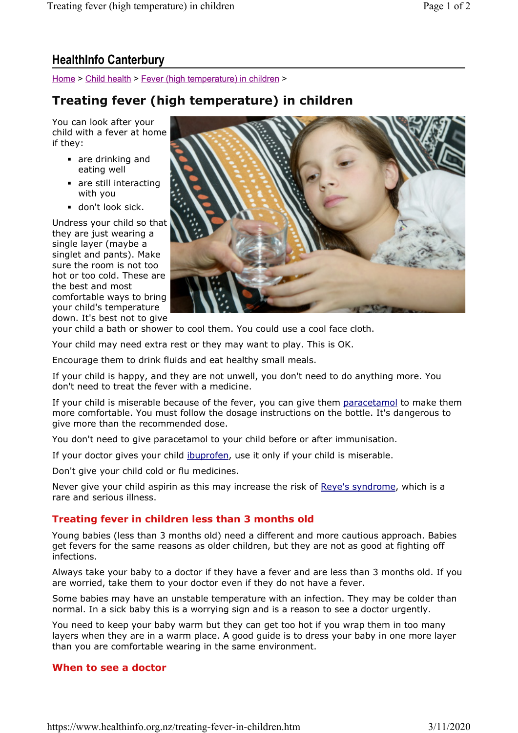Home > Child health > Fever (high temperature) in children >

## Treating fever (high temperature) in children

You can look after your child with a fever at home if they:

- are drinking and eating well
- are still interacting with you
- don't look sick.

Undress your child so that they are just wearing a single layer (maybe a singlet and pants). Make sure the room is not too hot or too cold. These are the best and most comfortable ways to bring your child's temperature down. It's best not to give



your child a bath or shower to cool them. You could use a cool face cloth.

Your child may need extra rest or they may want to play. This is OK.

Encourage them to drink fluids and eat healthy small meals.

If your child is happy, and they are not unwell, you don't need to do anything more. You don't need to treat the fever with a medicine.

If your child is miserable because of the fever, you can give them paracetamol to make them more comfortable. You must follow the dosage instructions on the bottle. It's dangerous to give more than the recommended dose.

You don't need to give paracetamol to your child before or after immunisation.

If your doctor gives your child ibuprofen, use it only if your child is miserable.

Don't give your child cold or flu medicines.

Never give your child aspirin as this may increase the risk of Reye's syndrome, which is a rare and serious illness.

## Treating fever in children less than 3 months old

Young babies (less than 3 months old) need a different and more cautious approach. Babies get fevers for the same reasons as older children, but they are not as good at fighting off infections.

Always take your baby to a doctor if they have a fever and are less than 3 months old. If you are worried, take them to your doctor even if they do not have a fever.

Some babies may have an unstable temperature with an infection. They may be colder than normal. In a sick baby this is a worrying sign and is a reason to see a doctor urgently.

You need to keep your baby warm but they can get too hot if you wrap them in too many layers when they are in a warm place. A good guide is to dress your baby in one more layer than you are comfortable wearing in the same environment.

## When to see a doctor